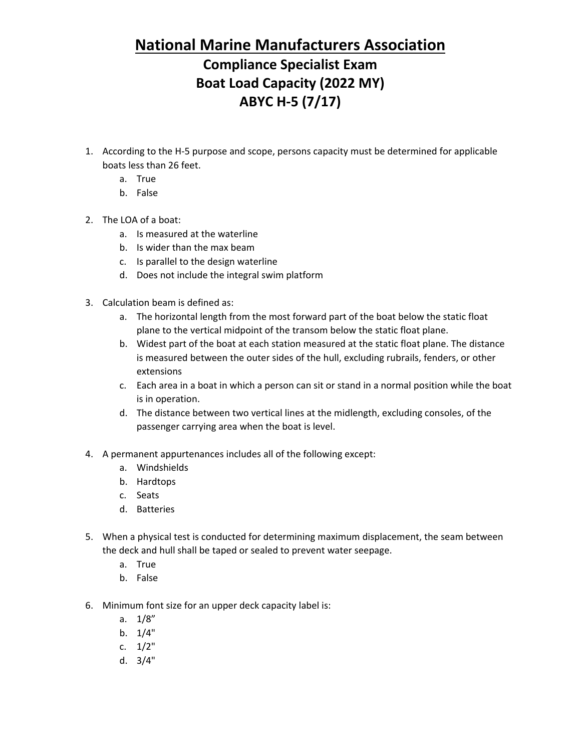#### **National Marine Manufacturers Association**

## **Compliance Specialist Exam Boat Load Capacity (2022 MY) ABYC H-5 (7/17)**

- 1. According to the H-5 purpose and scope, persons capacity must be determined for applicable boats less than 26 feet.
	- a. True
	- b. False
- 2. The LOA of a boat:
	- a. Is measured at the waterline
	- b. Is wider than the max beam
	- c. Is parallel to the design waterline
	- d. Does not include the integral swim platform
- 3. Calculation beam is defined as:
	- a. The horizontal length from the most forward part of the boat below the static float plane to the vertical midpoint of the transom below the static float plane.
	- b. Widest part of the boat at each station measured at the static float plane. The distance is measured between the outer sides of the hull, excluding rubrails, fenders, or other extensions
	- c. Each area in a boat in which a person can sit or stand in a normal position while the boat is in operation.
	- d. The distance between two vertical lines at the midlength, excluding consoles, of the passenger carrying area when the boat is level.
- 4. A permanent appurtenances includes all of the following except:
	- a. Windshields
	- b. Hardtops
	- c. Seats
	- d. Batteries
- 5. When a physical test is conducted for determining maximum displacement, the seam between the deck and hull shall be taped or sealed to prevent water seepage.
	- a. True
	- b. False
- 6. Minimum font size for an upper deck capacity label is:
	- a. 1/8"
	- b. 1/4"
	- c. 1/2"
	- d. 3/4"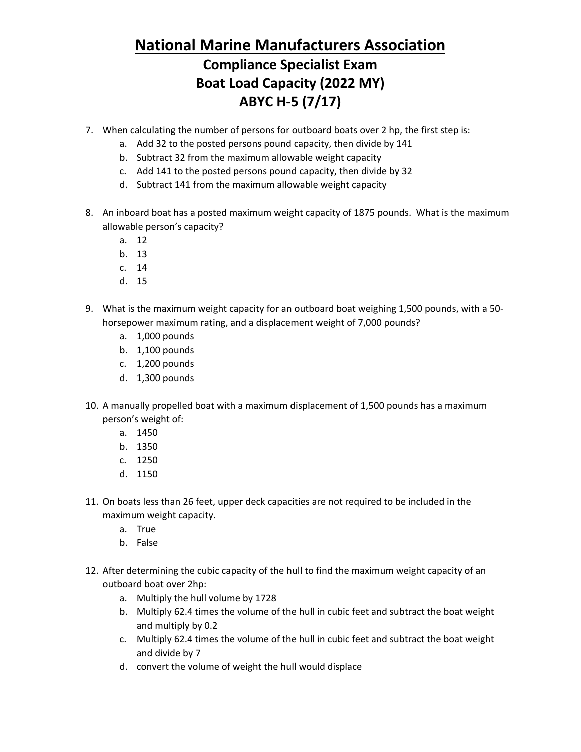## **National Marine Manufacturers Association**

### **Compliance Specialist Exam Boat Load Capacity (2022 MY) ABYC H-5 (7/17)**

- 7. When calculating the number of persons for outboard boats over 2 hp, the first step is:
	- a. Add 32 to the posted persons pound capacity, then divide by 141
	- b. Subtract 32 from the maximum allowable weight capacity
	- c. Add 141 to the posted persons pound capacity, then divide by 32
	- d. Subtract 141 from the maximum allowable weight capacity
- 8. An inboard boat has a posted maximum weight capacity of 1875 pounds. What is the maximum allowable person's capacity?
	- a. 12
	- b. 13
	- c. 14
	- d. 15
- 9. What is the maximum weight capacity for an outboard boat weighing 1,500 pounds, with a 50 horsepower maximum rating, and a displacement weight of 7,000 pounds?
	- a. 1,000 pounds
	- b. 1,100 pounds
	- c. 1,200 pounds
	- d. 1,300 pounds
- 10. A manually propelled boat with a maximum displacement of 1,500 pounds has a maximum person's weight of:
	- a. 1450
	- b. 1350
	- c. 1250
	- d. 1150
- 11. On boats less than 26 feet, upper deck capacities are not required to be included in the maximum weight capacity.
	- a. True
	- b. False
- 12. After determining the cubic capacity of the hull to find the maximum weight capacity of an outboard boat over 2hp:
	- a. Multiply the hull volume by 1728
	- b. Multiply 62.4 times the volume of the hull in cubic feet and subtract the boat weight and multiply by 0.2
	- c. Multiply 62.4 times the volume of the hull in cubic feet and subtract the boat weight and divide by 7
	- d. convert the volume of weight the hull would displace